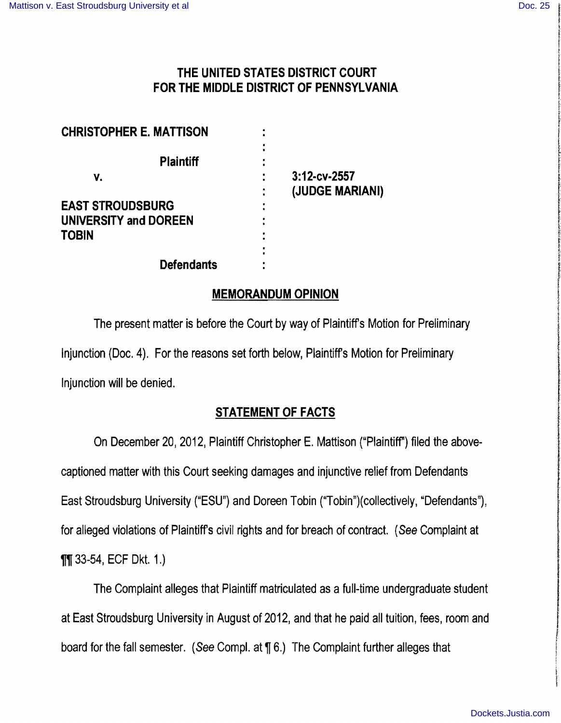# THE UNITED STATES DISTRICT COURT FOR THE MIDDLE DISTRICT OF PENNSYLVANIA

| <b>CHRISTOPHER E. MATTISON</b> |                                 |
|--------------------------------|---------------------------------|
| <b>Plaintiff</b>               |                                 |
| v.                             | 3:12-cv-2557<br>(JUDGE MARIANI) |
| <b>EAST STROUDSBURG</b>        |                                 |
| <b>UNIVERSITY and DOREEN</b>   |                                 |
| <b>TOBIN</b>                   |                                 |
| <b>Defendants</b>              |                                 |

### MEMORANDUM OPINION

The present matter is before the Court by way of Plaintiffs Motion for Preliminary Injunction (Doc. 4). For the reasons set forth below, Plaintiffs Motion for Preliminary Injunction will be denied.

# STATEMENT OF FACTS

On December 20, 2012, Plaintiff Christopher E. Mattison ("Plaintiff") filed the abovecaptioned matter with this Court seeking damages and injunctive relief from Defendants East Stroudsburg University ("ESU") and Doreen Tobin ("Tobin")(collectively, "Defendants"), for alleged violations of Plaintiffs civil rights and for breach of contract. (See Complaint at **11** 33-54, ECF Dkt. 1.)

The Complaint alleges that Plaintiff matriculated as a full-time undergraduate student at East Stroudsburg University in August of 2012, and that he paid all tuition, fees, room and board for the fall semester. (See Compl. at  $\P$  6.) The Complaint further alleges that

i<br>Elizabeth de la segunda de la provincia de la construcción de la construcción de la construcción de la construcción de la construcción de la construcción de la construcción de la construcción de la construcción de la con

t:

I

I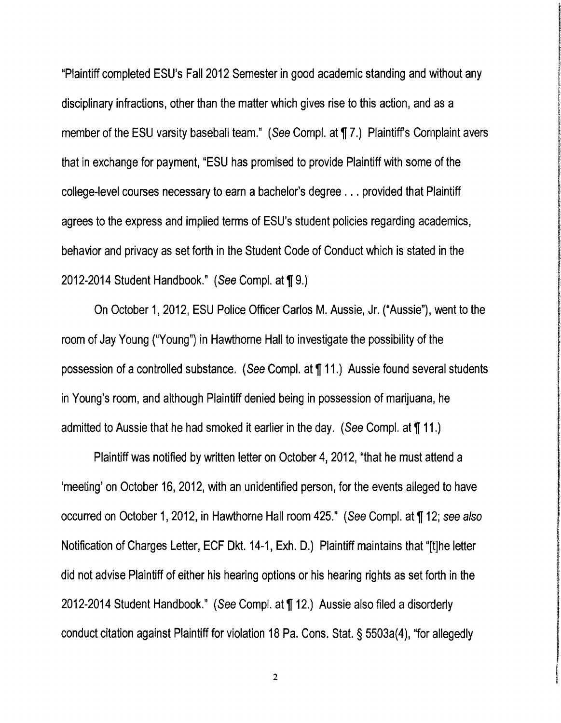"Plaintiff completed ESU's Fall 2012 Semester in good academic standing and without any disciplinary infractions, other than the matter which gives rise to this action, and as a member of the ESU varsity baseball team." (See Cornpl. at 17.) Plaintiff's Complaint avers that in exchange for payment, "ESU has promised to provide Plaintiff with some of the college-level courses necessary to earn a bachelor's degree ... provided that Plaintiff agrees to the express and implied terms of ESU's student policies regarding academics, behavior and privacy as set forth in the Student Code of Conduct which is stated in the 2012-2014 Student Handbook." (See Compl. at ¶ 9.)

On October 1,2012, ESU Police Officer Carlos M. Aussie, Jr. ("Aussie"), went to the room of Jay Young ("Young") in Hawthorne Hall to investigate the possibility of the possession of a controlled substance. (See Compl. at 11.) Aussie found several students in Young's room, and although Plaintiff denied being in possession of marijuana, he admitted to Aussie that he had smoked it earlier in the day. (See Compl. at  $\P$  11.)

Plaintiff was notified by written letter on October 4, 2012, "that he must attend a 'meeting' on October 16, 2012, with an unidentified person, for the events alleged to have occurred on October 1, 2012, in Hawthorne Hall room 425." (See Compl. at ¶ 12; see also Notification of Charges Letter, ECF Dkt. 14-1, Exh. D.) Plaintiff maintains that "[t]he letter did not advise Plaintiff of either his hearing options or his hearing rights as set forth in the 2012-2014 Student Handbook." (See Compl. at ¶ 12.) Aussie also filed a disorderly conduct citation against Plaintiff for violation 18 Pa. Cons. Stat. § 5503a(4), "for allegedly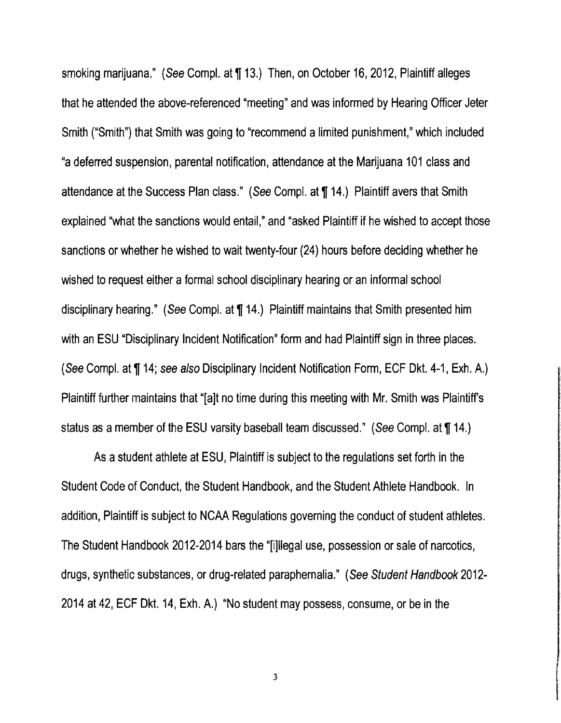smoking marijuana." (See Compl. at 113.) Then, on October 16, 2012, Plaintiff alleges that he attended the above-referenced "meeting" and was informed by Hearing Officer Jeter Smith ("Smith") that Smith was going to "recommend a limited punishment," which included "a deferred suspension, parental notification, attendance at the Marijuana 101 class and attendance at the Success Plan class." (See Compl. at ¶ 14.) Plaintiff avers that Smith explained "what the sanctions would entail," and "asked Plaintiff if he wished to accept those sanctions or whether he wished to wait twenty-four (24) hours before deciding whether he wished to request either a formal school disciplinary hearing or an informal school disciplinary hearing." (See Compl. at  $\P$  14.) Plaintiff maintains that Smith presented him with an ESU "Disciplinary Incident Notification" form and had Plaintiff sign in three places. (See Compl. at ¶ 14; see also Disciplinary Incident Notification Form, ECF Dkt. 4-1, Exh. A.) Plaintiff further maintains that "[a]t no time during this meeting with Mr. Smith was Plaintiffs status as a member of the ESU varsity baseball team discussed." (See Compl. at ¶ 14.)

As astudent athlete at ESU, Plaintiff is subject to the regulations set forth in the Student Code of Conduct, the Student Handbook, and the Student Athlete Handbook. In addition, Plaintiff is subject to NCAA Regulations governing the conduct of student athletes. The Student Handbook 2012-2014 bars the "[i]lIegal use, possession or sale of narcotics, drugs, synthetic substances, or drug-related paraphernalia." (See Student Handbook 2012- 2014 at 42, ECF Dkt. 14, Exh. A.) "No student may possess, consume, or be in the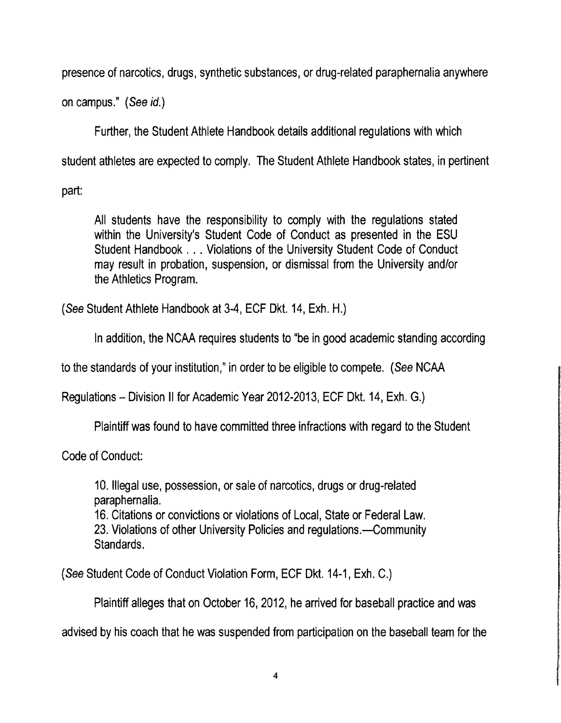presence of narcotics, drugs, synthetic substances, or drug-related paraphernalia anywhere

on campus." (See id.)

Further, the Student Athlete Handbook details additional regulations with which

student athletes are expected to comply. The Student Athlete Handbook states, in pertinent

part:

All students have the responsibility to comply with the regulations stated within the University's Student Code of Conduct as presented in the ESU Student Handbook ... Violations of the University Student Code of Conduct may result in probation, suspension, or dismissal from the University and/or the Athletics Program.

(See Student Athlete Handbook at 3-4, ECF Dkt. 14, Exh. H.)

In addition, the NCAA requires students to "be in good academic standing according

to the standards of your institution," in order to be eligible to compete. (See NCAA

Regulations - Division II for Academic Year 2012-2013, ECF Dkt. 14, Exh. G.)

Plaintiff was found to have committed three infractions with regard to the Student

Code of Conduct:

10. Illegal use, possession, or sale of narcotics, drugs or drug-related paraphernalia.

16. Citations or convictions or violations of Local, State or Federal Law. 23. Violations of other University Policies and regulations.--Community Standards.

(See Student Code of Conduct Violation Form, ECF Dkt. 14-1, Exh. C.)

Plaintiff alleges that on October 16, 2012, he arrived for baseball practice and was

advised by his coach that he was suspended from participation on the baseball team for the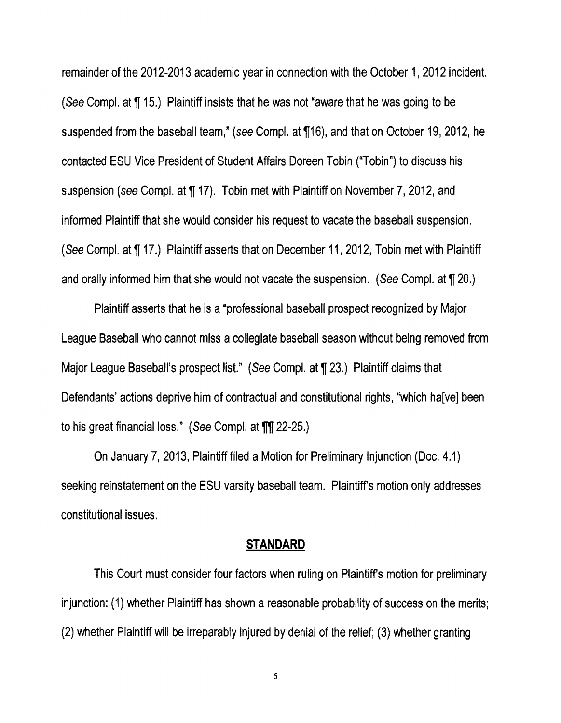remainder of the 2012-2013 academic year in connection with the October 1, 2012 incident. (See Compl. at  $\P$  15.) Plaintiff insists that he was not "aware that he was going to be suspended from the baseball team," (see Compl. at ¶16), and that on October 19, 2012, he contacted ESU Vice President of Student Affairs Doreen Tobin ("Tobin") to discuss his suspension (see Compl. at ¶ 17). Tobin met with Plaintiff on November 7, 2012, and informed Plaintiff that she would consider his request to vacate the baseball suspension. (See Compl. at  $\P$  17.) Plaintiff asserts that on December 11, 2012, Tobin met with Plaintiff and orally informed him that she would not vacate the suspension. (See Compl. at  $\P$  20.)

Plaintiff asserts that he is a"professional baseball prospect recognized by Major League Baseball who cannot miss a collegiate baseball season without being removed from Major League Baseball's prospect list." (See Compl. at  $\P$  23.) Plaintiff claims that Defendants' actions deprive him of contractual and constitutional rights, "which ha[ve] been to his great financial loss." (See Compl. at TI 22-25.)

On January 7, 2013, Plaintiff filed a Motion for Preliminary Injunction (Doc. 4.1) seeking reinstatement on the ESU varsity baseball team. Plaintiffs motion only addresses constitutional issues.

### **STANDARD**

This Court must consider four factors when ruling on Plaintiffs motion for preliminary injunction: (1) whether Plaintiff has shown a reasonable probability of success on the merits; (2) whether Plaintiff will be irreparably injured by denial of the relief; (3) whether granting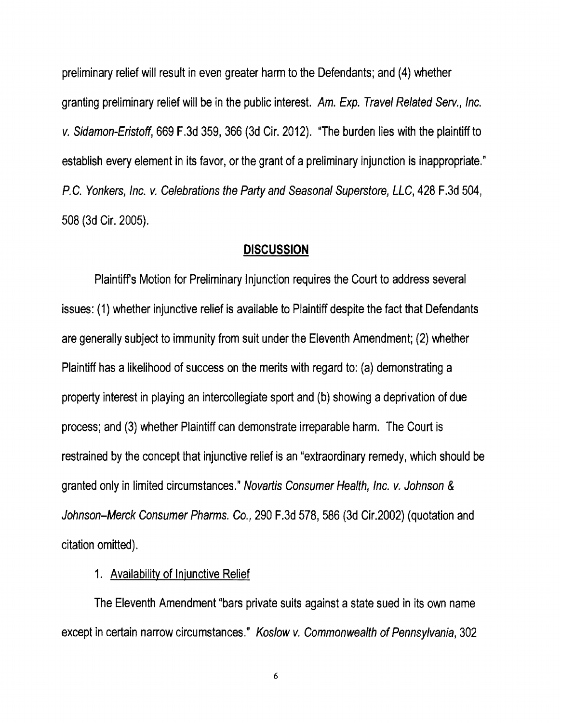preliminary relief will result in even greater harm to the Defendants; and (4) whether granting preliminary relief will be in the public interest. Am. Exp. Travel Related Serv., Inc. v. Sidamon-Eristoff, 669 F.3d 359, 366 (3d Cir. 2012). "The burden lies with the plaintiff to establish every element in its favor, or the grant of a preliminary injunction is inappropriate." P.C. Yonkers, Inc. v. Celebrations the Parly and Seasonal Superstore, LLC, 428 F.3d 504, 508 (3d Cir. 2005).

#### **DISCUSSION**

Plaintiffs Motion for Preliminary Injunction requires the Court to address several issues: (1) whether injunctive relief is available to Plaintiff despite the fact that Defendants are generally subject to immunity from suit under the Eleventh Amendment; (2) whether Plaintiff has alikelihood of success on the merits with regard to: (a) demonstrating a property interest in playing an intercollegiate sport and (b) showing adeprivation of due process; and (3) whether Plaintiff can demonstrate irreparable harm. The Court is restrained by the concept that injunctive relief is an "extraordinary remedy, which should be granted only in limited circumstances." Novarlis Consumer Health, Inc. v. Johnson *&*  Johnson-Merck Consumer Pharms. Co., 290 F.3d 578, 586 (3d Cir.2002) (quotation and citation omitted).

#### 1. Availability of Injunctive Relief

The Eleventh Amendment "bars private suits against astate sued in its own name except in certain narrow circumstances." Koslow v. Commonwealth of Pennsylvania, 302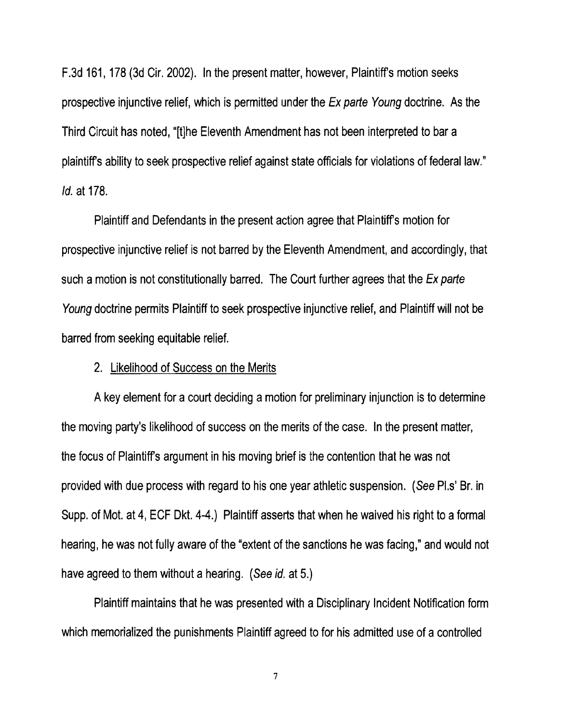F.3d 161, 178 (3d Cir. 2002). **In** the present matter, however, Plaintiffs motion seeks prospective injunctive relief, which is permitted under the Ex parte Young doctrine. As the Third Circuit has noted, "[t]he Eleventh Amendment has not been interpreted to bar a plaintiffs ability to seek prospective relief against state officials for violations of federal law." Id. at 178.

Plaintiff and Defendants in the present action agree that Plaintiffs motion for prospective injunctive relief is not barred by the Eleventh Amendment, and accordingly, that such a motion is not constitutionally barred. The Court further agrees that the Ex parte Young doctrine permits Plaintiff to seek prospective injunctive relief, and Plaintiff will not be barred from seeking equitable relief.

### 2. Likelihood of Success on the Merits

Akey element for acourt deciding amotion for preliminary injunction is to determine the moving party's likelihood of success on the merits of the case. In the present matter, the focus of Plaintiffs argument in his moving brief is the contention that he was not provided with due process with regard to his one year athletic suspension. (See Pl.s' Sr. in Supp. of Mot. at 4, ECF Dkt. 4-4.) Plaintiff asserts that when he waived his right to a formal hearing, he was not fully aware of the "extent of the sanctions he was facing," and would not have agreed to them without a hearing. (See id. at 5.)

Plaintiff maintains that he was presented with a Disciplinary Incident Notification form which memorialized the punishments Plaintiff agreed to for his admitted use of a controlled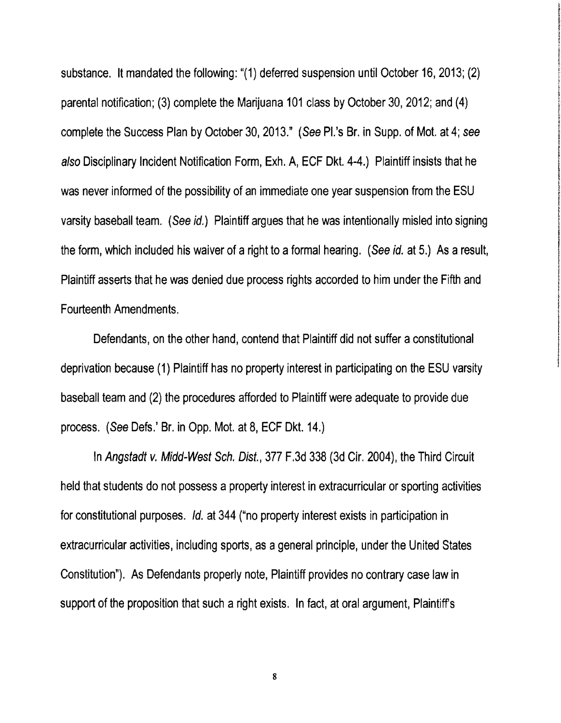substance. It mandated the following: "(1) deferred suspension until October 16, 2013; (2) parental notification; (3) complete the Marijuana 101 class by October 30,2012; and (4) complete the Success Plan by October 30,2013." (See PI.'s Br. in Supp. of Mot. at 4; see also Disciplinary Incident Notification Form, Exh. A, ECF Dkt. 4-4.) Plaintiff insists that he was never informed of the possibility of an immediate one year suspension from the ESU varsity baseball team. (See id.) Plaintiff argues that he was intentionally misled into signing the form, which included his waiver of a right to a formal hearing. (See id. at 5.) As a result, Plaintiff asserts that he was denied due process rights accorded to him under the Fifth and Fourteenth Amendments.

Defendants, on the other hand, contend that Plaintiff did not suffer a constitutional deprivation because (1) Plaintiff has no property interest in participating on the ESU varsity baseball team and (2) the procedures afforded to Plaintiff were adequate to provide due process. (See Defs.' Br. in Opp. Mot. at 8, ECF Dkt. 14.)

In Angstadt v. Midd-West Sch. Dist., 377 F.3d 338 (3d Cir. 2004), the Third Circuit held that students do not possess a property interest in extracurricular or sporting activities for constitutional purposes. Id. at 344 ("no property interest exists in participation in extracurricular activities, including sports, as ageneral principle, under the United States Constitution"). As Defendants properly note, Plaintiff provides no contrary case law in support of the proposition that such a right exists. In fact, at oral argument, Plaintiff's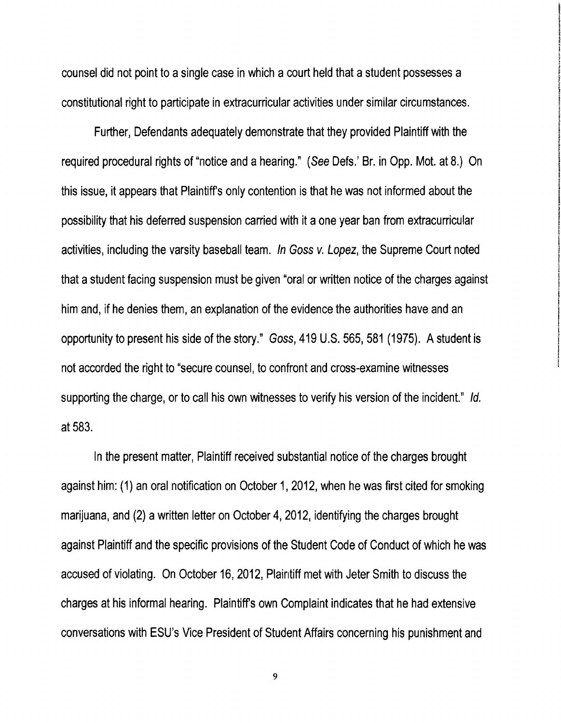counsel did not point to asingle case in which a court held that astudent possesses a constitutional right to participate in extracurricular activities under similar circumstances.

Further, Defendants adequately demonstrate that they provided Plaintiff with the required procedural rights of "notice and a hearing." (See Defs.' Sr. in Opp. Mot. at 8.) On this issue, it appears that Plaintiffs only contention is that he was not informed about the possibility that his deferred suspension carried with it aone year ban from extracurricular activities, including the varsity baseball team. In Goss v. Lopez, the Supreme Court noted that astudent facing suspension must be given "oral or written notice of the charges against him and, if he denies them, an explanation of the evidence the authorities have and an opportunity to present his side of the story." Goss, 419 U.S. 565, 581 (1975). Astudent is not accorded the right to "secure counsel, to confront and cross-examine witnesses supporting the charge, or to call his own witnesses to verify his version of the incident." Id. at 583.

In the present matter, Plaintiff received substantial notice of the charges brought against him: (1) an oral notification on October 1,2012, when he was first cited for smoking marijuana, and (2) a written letter on October 4, 2012, identifying the charges brought against Plaintiff and the specific provisions of the Student Code of Conduct of which he was accused of violating. On October 16, 2012, Plaintiff met with Jeter Smith to discuss the charges at his informal hearing. Plaintiffs own Complaint indicates that he had extensive conversations with ESU's Vice President of Student Affairs concerning his punishment and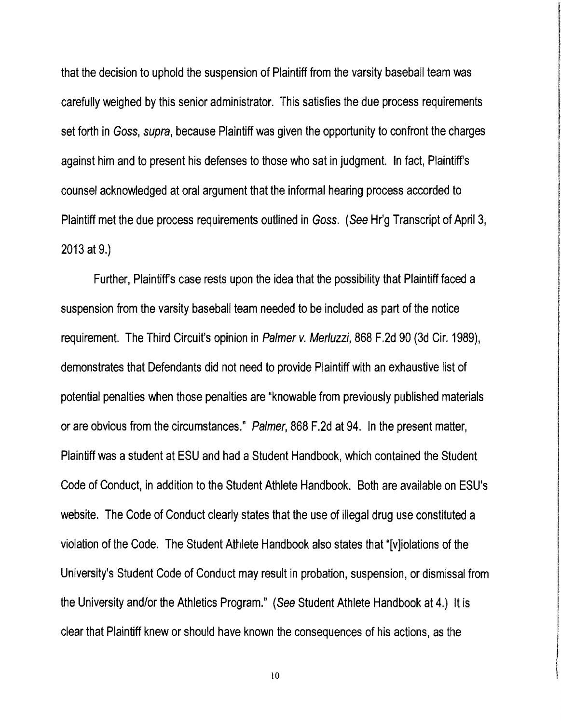that the decision to uphold the suspension of Plaintiff from the varsity baseball team was carefully weighed by this senior administrator. This satisfies the due process requirements set forth in Goss, supra, because Plaintiff was given the opportunity to confront the charges against him and to present his defenses to those who sat in judgment. In fact, Plaintiffs counsel acknowledged at oral argument that the informal hearing process accorded to Plaintiff met the due process requirements outlined in Goss. (See Hr'g Transcript of April 3, 2013 at 9.)

Further, Plaintiffs case rests upon the idea that the possibility that Plaintiff faced a suspension from the varsity baseball team needed to be included as part of the notice requirement. The Third Circuit's opinion in Palmer v. Merluzzi, 868 F.2d 90 (3d Cir. 1989), demonstrates that Defendants did not need to provide Plaintiff with an exhaustive list of potential penalties when those penalties are "knowable from previously published materials or are obvious from the circumstances." Palmer, 868 F.2d at 94. In the present matter, Plaintiff was a student at ESU and had a Student Handbook, which contained the Student Code of Conduct, in addition to the Student Athlete Handbook. Both are available on ESU's website. The Code of Conduct clearly states that the use of illegal drug use constituted a violation of the Code. The Student Athlete Handbook also states that "[v]iolations of the University's Student Code of Conduct may result in probation, suspension, or dismissal from the University and/or the Athletics Program." (See Student Athlete Handbook at 4.) It is clear that Plaintiff knew or should have known the consequences of his actions, as the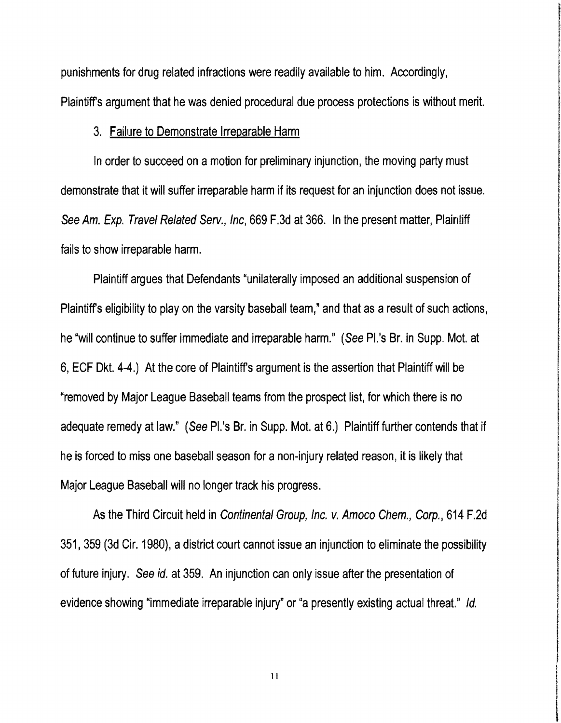punishments for drug related infractions were readily available to him. Accordingly, Plaintiffs argument that he was denied procedural due process protections is without merit.

### 3. Failure to Demonstrate Irreparable Harm

In order to succeed on a motion for preliminary injunction, the moving party must demonstrate that it will suffer irreparable harm if its request for an injunction does not issue. See Am. Exp. Travel Related Serv., Inc, 669 F.3d at 366. In the present matter, Plaintiff fails to show irreparable harm.

Plaintiff argues that Defendants "unilaterally imposed an additional suspension of Plaintiffs eligibility to play on the varsity baseball team," and that as aresult of such actions, he "will continue to suffer immediate and irreparable harm." (See Pl.'s Br. in Supp. Mot. at 6, ECF Dkt. 4-4.) At the core of Plaintiffs argument is the assertion that Plaintiff will be "removed by Major League Baseball teams from the prospect list, for which there is no adequate remedy at law." (See PI.'s Br. in Supp. Mot. at 6.) Plaintiff further contends that if he is forced to miss one baseball season for a non-injury related reason, it is likely that Major League Baseball will no longer track his progress.

As the Third Circuit held in Continental Group, Inc. v. Amoco Chem., Corp., 614 F.2d 351, 359 (3d Cir. 1980), a district court cannot issue an injunction to eliminate the possibility of future injury. See id. at 359. An injunction can only issue after the presentation of evidence showing "immediate irreparable injury" or "a presently existing actual threat." Id.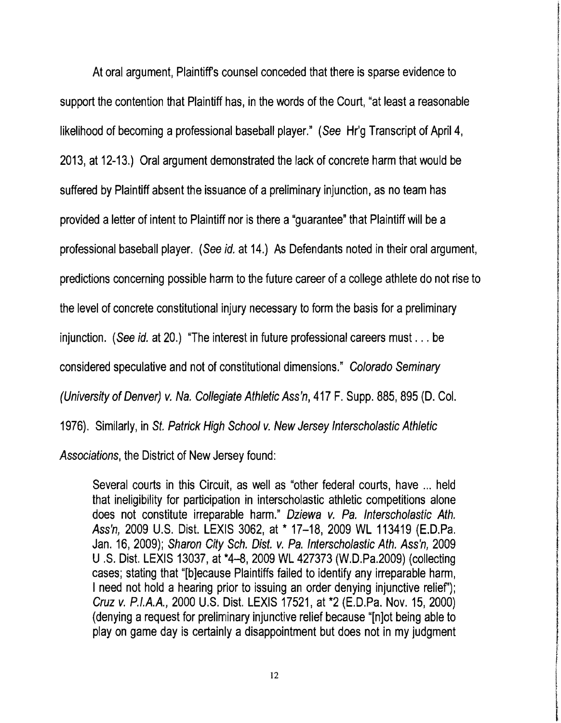At oral argument, Plaintiffs counsel conceded that there is sparse evidence to support the contention that Plaintiff has, in the words of the Court, "at least a reasonable likelihood of becoming a professional baseball player." (See Hr'g Transcript of April 4, 2013, at 12-13.) Oral argument demonstrated the lack of concrete harm that would be suffered by Plaintiff absent the issuance of a preliminary injunction, as no team has provided a letter of intent to Plaintiff nor is there a "guarantee" that Plaintiff will be a professional baseball player. (See id. at 14.) As Defendants noted in their oral argument, predictions concerning possible harm to the future career of acollege athlete do not rise to the level of concrete constitutional injury necessary to form the basis for a preliminary injunction. (See id. at 20.) "The interest in future professional careers must ... be considered speculative and not of constitutional dimensions." Colorado Seminary (University of Denver) v. Na. Collegiate Athletic Ass'n, 417 F. Supp. 885, 895 (D. Col. 1976). Similarly, in St. Patrick High School v. New Jersey Interscholastic Athletic Associations, the District of New Jersey found:

Several courts in this Circuit, as well as "other federal courts, have ... held that ineligibility for participation in interscholastic athletic competitions alone does not constitute irreparable harm." Dziewa v. Pa. Interscholastic Ath. Ass'n, 2009 U.S. Dist. LEXIS 3062, at \* 17-18, 2009 WL 113419 (E.D.Pa. Jan. 16, 2009); Sharon City Sch. Dist. v. Pa. Interscholastic Ath. Ass'n, 2009 U.S. Dist. LEXIS 13037, at \*4-8,2009 WL 427373 (W.D.Pa.2009) (collecting cases; stating that "[b]ecause Plaintiffs failed to identify any irreparable harm, I need not hold a hearing prior to issuing an order denying injunctive relief'); Cruz v. P. I.A.A. , 2000 U.S. Dist. LEXIS 17521, at \*2 (E.D.Pa. Nov. 15,2000)  $($ denying a request for preliminary injunctive relief because " $[$ n $]$ ot being able to play on game day is certainly a disappointment but does not in my judgment